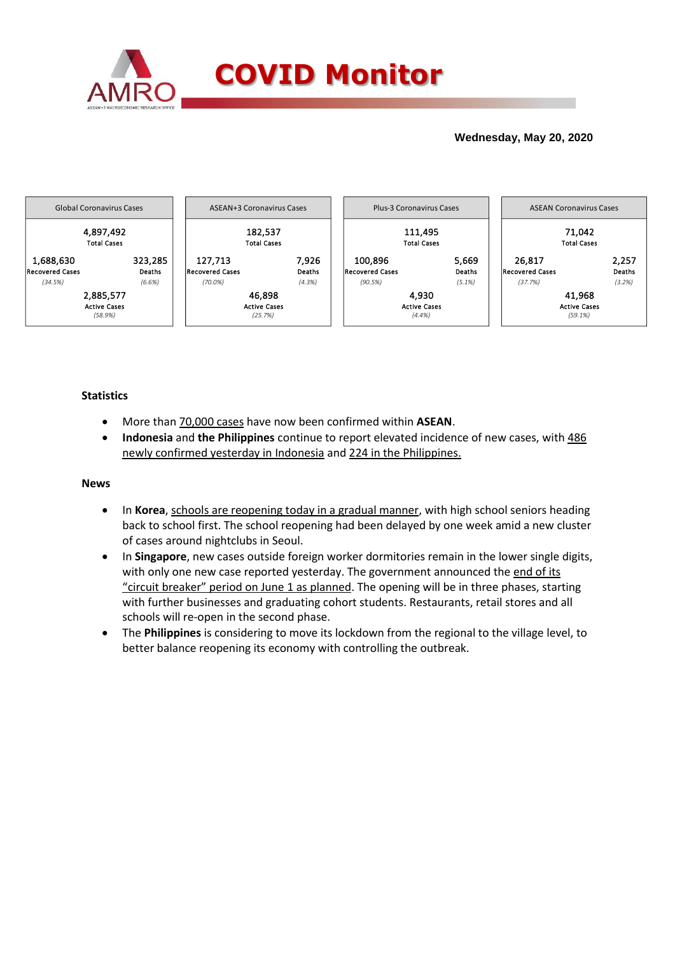

## **Wednesday, May 20, 2020**



### **Statistics**

- More than 70,000 cases have now been confirmed within **ASEAN**.
- **Indonesia** and **the Philippines** continue to report elevated incidence of new cases, with 486 newly confirmed yesterday in Indonesia and 224 in the Philippines.

### **News**

- In **Korea**, schools are reopening today in a gradual manner, with high school seniors heading back to school first. The school reopening had been delayed by one week amid a new cluster of cases around nightclubs in Seoul.
- In **Singapore**, new cases outside foreign worker dormitories remain in the lower single digits, with only one new case reported yesterday. The government announced the end of its "circuit breaker" period on June 1 as planned. The opening will be in three phases, starting with further businesses and graduating cohort students. Restaurants, retail stores and all schools will re-open in the second phase.
- The **Philippines** is considering to move its lockdown from the regional to the village level, to better balance reopening its economy with controlling the outbreak.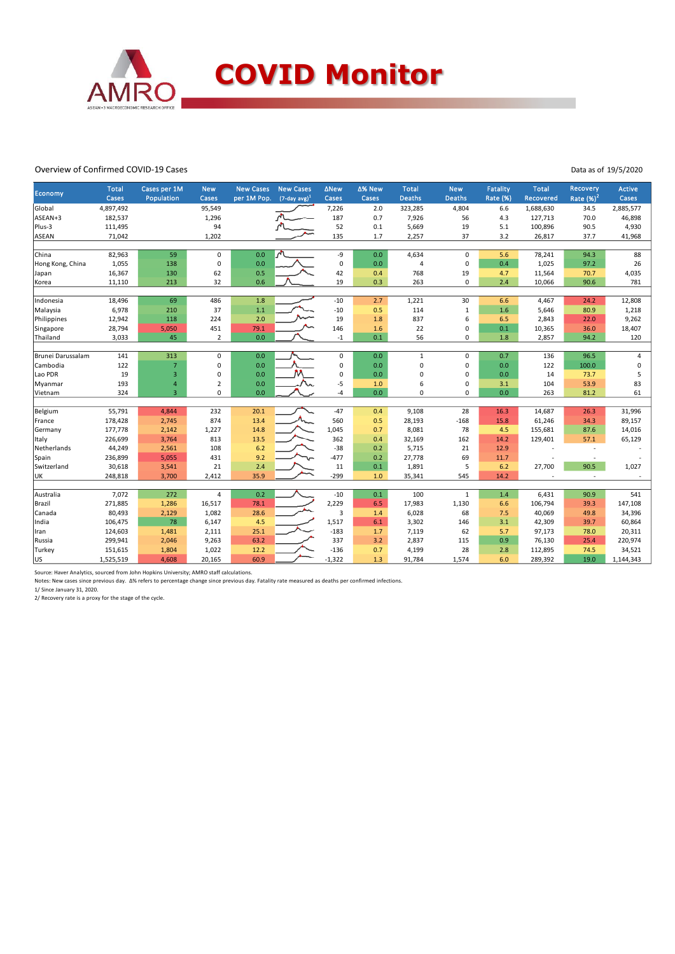

#### Overview of Confirmed COVID-19 Cases

| Economy           | <b>Total</b><br>Cases | Cases per 1M<br>Population | <b>New</b><br>Cases | <b>New Cases</b><br>per 1M Pop. | <b>New Cases</b><br>$(7$ -day avg) <sup>1</sup> | <b>ANew</b><br>Cases | ∆% New<br>Cases | <b>Total</b><br><b>Deaths</b> | <b>New</b><br><b>Deaths</b> | <b>Fatality</b><br>Rate (%) | <b>Total</b><br>Recovered | Recovery<br>Rate $(\%)^2$ | <b>Active</b><br>Cases |
|-------------------|-----------------------|----------------------------|---------------------|---------------------------------|-------------------------------------------------|----------------------|-----------------|-------------------------------|-----------------------------|-----------------------------|---------------------------|---------------------------|------------------------|
| Global            | 4,897,492             |                            | 95,549              |                                 |                                                 | 7,226                | 2.0             | 323,285                       | 4,804                       | 6.6                         | 1,688,630                 | 34.5                      | 2,885,577              |
| ASEAN+3           | 182,537               |                            | 1,296               |                                 |                                                 | 187                  | 0.7             | 7,926                         | 56                          | 4.3                         | 127,713                   | 70.0                      | 46,898                 |
| Plus-3            | 111,495               |                            | 94                  |                                 |                                                 | 52                   | 0.1             | 5,669                         | 19                          | 5.1                         | 100,896                   | 90.5                      | 4,930                  |
| ASEAN             | 71,042                |                            | 1,202               |                                 |                                                 | 135                  | 1.7             | 2,257                         | 37                          | 3.2                         | 26,817                    | 37.7                      | 41,968                 |
|                   |                       |                            |                     |                                 |                                                 |                      |                 |                               |                             |                             |                           |                           |                        |
| China             | 82,963                | 59                         | 0                   | 0.0                             | ጣ                                               | -9                   | 0.0             | 4,634                         | 0                           | 5.6                         | 78,241                    | 94.3                      | 88                     |
| Hong Kong, China  | 1,055                 | 138                        | 0                   | 0.0                             |                                                 | 0                    | 0.0             | 4                             | 0                           | 0.4                         | 1,025                     | 97.2                      | 26                     |
| Japan             | 16,367                | 130                        | 62                  | 0.5                             |                                                 | 42                   | 0.4             | 768                           | 19                          | 4.7                         | 11,564                    | 70.7                      | 4,035                  |
| Korea             | 11,110                | 213                        | 32                  | 0.6                             |                                                 | 19                   | 0.3             | 263                           | 0                           | 2.4                         | 10,066                    | 90.6                      | 781                    |
|                   |                       |                            |                     |                                 |                                                 |                      |                 |                               |                             |                             |                           |                           |                        |
| Indonesia         | 18,496                | 69                         | 486                 | 1.8                             |                                                 | $-10$                | 2.7             | 1,221                         | 30                          | 6.6                         | 4,467                     | 24.2                      | 12,808                 |
| Malaysia          | 6,978                 | 210                        | 37                  | 1.1                             |                                                 | $-10$                | 0.5             | 114                           | $\mathbf{1}$                | 1.6                         | 5,646                     | 80.9                      | 1,218                  |
| Philippines       | 12,942                | 118                        | 224                 | 2.0                             |                                                 | 19                   | 1.8             | 837                           | 6                           | 6.5                         | 2,843                     | 22.0                      | 9,262                  |
| Singapore         | 28,794                | 5,050                      | 451                 | 79.1                            |                                                 | 146                  | 1.6             | 22                            | 0                           | 0.1                         | 10,365                    | 36.0                      | 18,407                 |
| Thailand          | 3,033                 | 45                         | $\overline{2}$      | 0.0                             |                                                 | $-1$                 | 0.1             | 56                            | 0                           | 1.8                         | 2,857                     | 94.2                      | 120                    |
|                   |                       |                            |                     |                                 |                                                 |                      |                 |                               |                             |                             |                           |                           |                        |
| Brunei Darussalam | 141                   | 313                        | $\mathbf 0$         | 0.0                             |                                                 | 0                    | 0.0             | $\mathbf{1}$                  | 0                           | 0.7                         | 136                       | 96.5                      | 4                      |
| Cambodia          | 122                   | $\overline{7}$             | 0                   | 0.0                             |                                                 | $\Omega$             | 0.0             | 0                             | 0                           | 0.0                         | 122                       | 100.0                     | $\Omega$               |
| Lao PDR           | 19                    | $\overline{3}$             | 0                   | 0.0                             |                                                 | $\Omega$             | 0.0             | 0                             | 0                           | 0.0                         | 14                        | 73.7                      | 5                      |
| Myanmar           | 193                   | $\overline{4}$             | $\overline{2}$      | 0.0                             |                                                 | $-5$                 | 1.0             | 6                             | 0                           | 3.1                         | 104                       | 53.9                      | 83                     |
| Vietnam           | 324                   | $\overline{3}$             | $\Omega$            | 0.0                             |                                                 | $-4$                 | 0.0             | $\Omega$                      | $\Omega$                    | 0.0                         | 263                       | 81.2                      | 61                     |
|                   |                       |                            |                     |                                 |                                                 |                      |                 |                               |                             |                             |                           |                           |                        |
| Belgium           | 55,791                | 4,844                      | 232                 | 20.1                            |                                                 | $-47$                | 0.4             | 9,108                         | 28                          | 16.3                        | 14,687                    | 26.3                      | 31,996                 |
| France            | 178,428               | 2,745                      | 874                 | 13.4                            |                                                 | 560                  | 0.5             | 28,193                        | $-168$                      | 15.8                        | 61,246                    | 34.3                      | 89,157                 |
| Germany           | 177,778               | 2,142                      | 1,227               | 14.8                            |                                                 | 1,045                | 0.7             | 8,081                         | 78                          | 4.5                         | 155,681                   | 87.6                      | 14,016                 |
| Italy             | 226,699               | 3,764                      | 813                 | 13.5                            |                                                 | 362                  | 0.4             | 32,169                        | 162                         | 14.2                        | 129,401                   | 57.1                      | 65,129                 |
| Netherlands       | 44,249                | 2,561                      | 108                 | 6.2                             |                                                 | $-38$                | 0.2             | 5,715                         | 21                          | 12.9                        |                           | ٠.                        |                        |
| Spain             | 236,899               | 5,055                      | 431                 | 9.2                             |                                                 | $-477$               | 0.2             | 27,778                        | 69                          | 11.7                        |                           |                           |                        |
| Switzerland       | 30,618                | 3,541                      | 21                  | 2.4                             |                                                 | 11                   | 0.1             | 1,891                         | 5                           | 6.2                         | 27,700                    | 90.5                      | 1,027                  |
| UK                | 248,818               | 3,700                      | 2.412               | 35.9                            |                                                 | $-299$               | 1.0             | 35,341                        | 545                         | 14.2                        |                           | $\sim$                    |                        |
|                   |                       |                            |                     |                                 |                                                 |                      |                 |                               |                             |                             |                           |                           |                        |
| Australia         | 7,072                 | 272                        | 4                   | 0.2                             |                                                 | $-10$                | 0.1             | 100                           | $\mathbf{1}$                | 1.4                         | 6,431                     | 90.9                      | 541                    |
| Brazil            | 271,885               | 1,286                      | 16,517              | 78.1                            |                                                 | 2,229                | 6.5             | 17,983                        | 1,130                       | 6.6                         | 106,794                   | 39.3                      | 147,108                |
| Canada            | 80,493                | 2,129                      | 1,082               | 28.6                            |                                                 | 3                    | 1.4             | 6,028                         | 68                          | 7.5                         | 40,069                    | 49.8                      | 34,396                 |
| India             | 106,475               | 78                         | 6,147               | 4.5                             |                                                 | 1,517                | 6.1             | 3,302                         | 146                         | 3.1                         | 42,309                    | 39.7                      | 60,864                 |
| Iran              | 124,603               | 1,481                      | 2,111               | 25.1                            |                                                 | $-183$               | 1.7             | 7,119                         | 62                          | 5.7                         | 97,173                    | 78.0                      | 20,311                 |
| Russia            | 299,941               | 2,046                      | 9,263               | 63.2                            |                                                 | 337                  | 3.2             | 2,837                         | 115                         | 0.9                         | 76,130                    | 25.4                      | 220,974                |
| Turkey            | 151,615               | 1,804                      | 1,022               | 12.2                            |                                                 | $-136$               | 0.7             | 4,199                         | 28                          | 2.8                         | 112,895                   | 74.5                      | 34,521                 |
| US                | 1,525,519             | 4,608                      | 20,165              | 60.9                            |                                                 | $-1,322$             | 1.3             | 91,784                        | 1,574                       | 6.0                         | 289,392                   | 19.0                      | 1,144,343              |

Source: Haver Analytics, sourced from John Hopkins University; AMRO staff calculations.

Notes: New cases since previous day. Δ% refers to percentage change since previous day. Fatality rate measured as deaths per confirmed infections. 1/ Since January 31, 2020.

2/ Recovery rate is a proxy for the stage of the cycle.

Data as of 19/5/2020